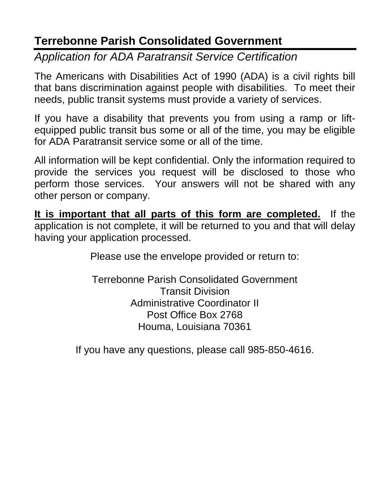# **Terrebonne Parish Consolidated Government**

*Application for ADA Paratransit Service Certification*

The Americans with Disabilities Act of 1990 (ADA) is a civil rights bill that bans discrimination against people with disabilities. To meet their needs, public transit systems must provide a variety of services.

If you have a disability that prevents you from using a ramp or liftequipped public transit bus some or all of the time, you may be eligible for ADA Paratransit service some or all of the time.

All information will be kept confidential. Only the information required to provide the services you request will be disclosed to those who perform those services. Your answers will not be shared with any other person or company.

**It is important that all parts of this form are completed.** If the application is not complete, it will be returned to you and that will delay having your application processed.

Please use the envelope provided or return to:

Terrebonne Parish Consolidated Government Transit Division Administrative Coordinator II Post Office Box 2768 Houma, Louisiana 70361

If you have any questions, please call 985-850-4616.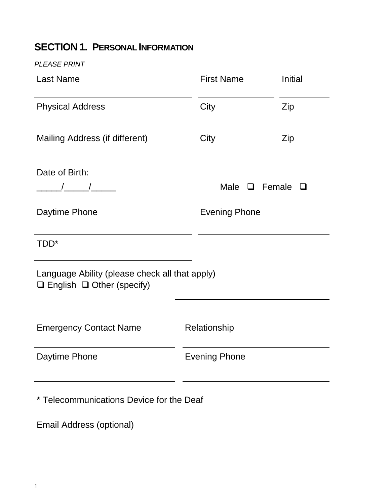## **SECTION 1. PERSONAL INFORMATION**

*PLEASE PRINT*

| <b>Last Name</b>                                                                        | <b>First Name</b>    | Initial |
|-----------------------------------------------------------------------------------------|----------------------|---------|
| <b>Physical Address</b>                                                                 | City                 | Zip     |
| Mailing Address (if different)                                                          | City                 | Zip     |
| Date of Birth:                                                                          |                      |         |
| $\frac{1}{\sqrt{2}}$                                                                    | Male $\Box$ Female   | $\Box$  |
| Daytime Phone                                                                           | <b>Evening Phone</b> |         |
| TDD <sup>*</sup>                                                                        |                      |         |
| Language Ability (please check all that apply)<br>$\Box$ English $\Box$ Other (specify) |                      |         |
| <b>Emergency Contact Name</b>                                                           | Relationship         |         |
| Daytime Phone                                                                           | <b>Evening Phone</b> |         |
| * Telecommunications Device for the Deaf                                                |                      |         |

Email Address (optional)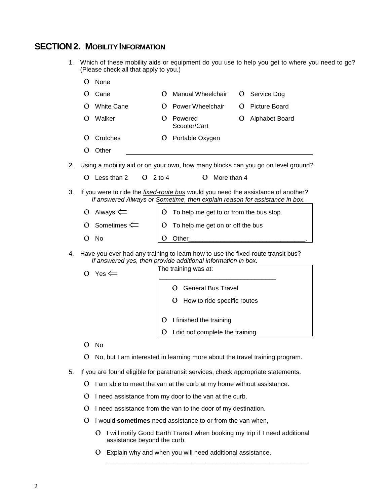#### **SECTION2. MOBILITY INFORMATION**

1. Which of these mobility aids or equipment do you use to help you get to where you need to go? (Please check all that apply to you.)

|    | $\Omega$ | None                                                                              |                      |                                                                                                                                                                        |   |                                                                                  |  |
|----|----------|-----------------------------------------------------------------------------------|----------------------|------------------------------------------------------------------------------------------------------------------------------------------------------------------------|---|----------------------------------------------------------------------------------|--|
|    | O        | Cane                                                                              | $\Omega$             | <b>Manual Wheelchair</b>                                                                                                                                               | Ő | Service Dog                                                                      |  |
|    | $\Omega$ | <b>White Cane</b>                                                                 | $\Omega$             | Power Wheelchair                                                                                                                                                       | O | <b>Picture Board</b>                                                             |  |
|    | $\Omega$ | Walker                                                                            | $\Omega$             | Powered<br>Scooter/Cart                                                                                                                                                | O | Alphabet Board                                                                   |  |
|    | $\Omega$ | Crutches                                                                          | $\overline{O}$       | Portable Oxygen                                                                                                                                                        |   |                                                                                  |  |
|    | O        | Other                                                                             |                      |                                                                                                                                                                        |   |                                                                                  |  |
| 2. |          |                                                                                   |                      |                                                                                                                                                                        |   | Using a mobility aid or on your own, how many blocks can you go on level ground? |  |
|    | $\Omega$ | Less than 2<br>$\Omega$                                                           | $2$ to 4             | $\mathbf O$<br>More than 4                                                                                                                                             |   |                                                                                  |  |
| 3. |          |                                                                                   |                      | If you were to ride the <i>fixed-route bus</i> would you need the assistance of another?<br>If answered Always or Sometime, then explain reason for assistance in box. |   |                                                                                  |  |
|    | O        | Always $\leftleftarrows$                                                          | O                    | To help me get to or from the bus stop.                                                                                                                                |   |                                                                                  |  |
|    |          | O Sometimes $\Leftarrow$                                                          | O                    | To help me get on or off the bus                                                                                                                                       |   |                                                                                  |  |
|    | O        | No                                                                                | O                    | Other                                                                                                                                                                  |   |                                                                                  |  |
| 4. |          |                                                                                   |                      | Have you ever had any training to learn how to use the fixed-route transit bus?<br>If answered yes, then provide additional information in box.                        |   |                                                                                  |  |
|    | O        | Yes $\Leftarrow$                                                                  | The training was at: |                                                                                                                                                                        |   |                                                                                  |  |
|    |          |                                                                                   |                      | O<br><b>General Bus Travel</b>                                                                                                                                         |   |                                                                                  |  |
|    |          |                                                                                   |                      | O<br>How to ride specific routes                                                                                                                                       |   |                                                                                  |  |
|    |          |                                                                                   | $\mathbf O$          | I finished the training                                                                                                                                                |   |                                                                                  |  |
|    |          |                                                                                   | $\Omega$             | I did not complete the training                                                                                                                                        |   |                                                                                  |  |
|    | $\Omega$ | No                                                                                |                      |                                                                                                                                                                        |   |                                                                                  |  |
|    | O        |                                                                                   |                      | No, but I am interested in learning more about the travel training program.                                                                                            |   |                                                                                  |  |
| 5. |          | If you are found eligible for paratransit services, check appropriate statements. |                      |                                                                                                                                                                        |   |                                                                                  |  |
|    | O        |                                                                                   |                      | I am able to meet the van at the curb at my home without assistance.                                                                                                   |   |                                                                                  |  |
|    | O        |                                                                                   |                      | I need assistance from my door to the van at the curb.                                                                                                                 |   |                                                                                  |  |
|    | O        |                                                                                   |                      | I need assistance from the van to the door of my destination.                                                                                                          |   |                                                                                  |  |
|    | O        | I would sometimes need assistance to or from the van when,                        |                      |                                                                                                                                                                        |   |                                                                                  |  |
|    |          |                                                                                   |                      |                                                                                                                                                                        |   |                                                                                  |  |

ο I will notify Good Earth Transit when booking my trip if I need additional assistance beyond the curb.

\_\_\_\_\_\_\_\_\_\_\_\_\_\_\_\_\_\_\_\_\_\_\_\_\_\_\_\_\_\_\_\_\_\_\_\_\_\_\_\_\_\_\_\_\_\_\_\_\_\_\_\_\_\_\_\_\_

ο Explain why and when you will need additional assistance.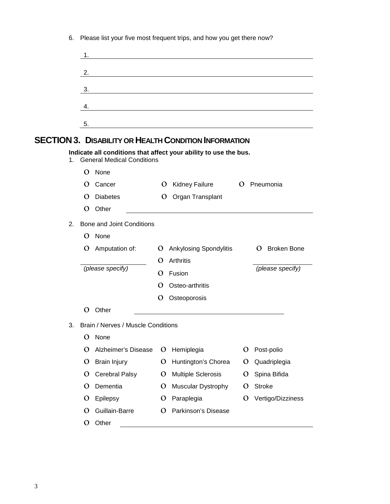|    | 1.                                                                                                |              |                                                                                                                       |   |                   |
|----|---------------------------------------------------------------------------------------------------|--------------|-----------------------------------------------------------------------------------------------------------------------|---|-------------------|
|    | 2.                                                                                                |              | <u> 1989 - Johann Barn, mars ann an t-Amhain Aonaich an t-Aonaich an t-Aonaich an t-Aonaich an t-Aonaich an t-Aon</u> |   |                   |
|    |                                                                                                   |              |                                                                                                                       |   |                   |
|    | 3.                                                                                                |              | <u> 1980 - Johann Barn, mars ann an t-Amhain Aonaich an t-Aonaich an t-Aonaich ann an t-Aonaich ann an t-Aonaich</u>  |   |                   |
|    | 4.                                                                                                |              |                                                                                                                       |   |                   |
|    | 5.                                                                                                |              |                                                                                                                       |   |                   |
|    |                                                                                                   |              |                                                                                                                       |   |                   |
|    | <b>SECTION 3. DISABILITY OR HEALTH CONDITION INFORMATION</b>                                      |              |                                                                                                                       |   |                   |
|    | Indicate all conditions that affect your ability to use the bus.<br>1. General Medical Conditions |              |                                                                                                                       |   |                   |
|    | $\Omega$<br>None                                                                                  |              |                                                                                                                       |   |                   |
|    | O<br>Cancer                                                                                       |              | O Kidney Failure                                                                                                      |   | O Pneumonia       |
|    | <b>Diabetes</b><br>$\Omega$                                                                       |              | O Organ Transplant                                                                                                    |   |                   |
|    | $\Omega$<br>Other                                                                                 |              |                                                                                                                       |   |                   |
| 2. | <b>Bone and Joint Conditions</b>                                                                  |              |                                                                                                                       |   |                   |
|    | None<br>$\Omega$                                                                                  |              |                                                                                                                       |   |                   |
|    | O Amputation of:                                                                                  |              | O Ankylosing Spondylitis                                                                                              |   | O Broken Bone     |
|    |                                                                                                   | O            | Arthritis                                                                                                             |   |                   |
|    | (please specify)                                                                                  | $\Omega$     | Fusion                                                                                                                |   | (please specify)  |
|    |                                                                                                   | $\Omega$     | Osteo-arthritis                                                                                                       |   |                   |
|    |                                                                                                   | O            | Osteoporosis                                                                                                          |   |                   |
|    | O<br>Other                                                                                        |              |                                                                                                                       |   |                   |
| 3. | Brain / Nerves / Muscle Conditions                                                                |              |                                                                                                                       |   |                   |
|    | O<br>None                                                                                         |              |                                                                                                                       |   |                   |
|    | Alzheimer's Disease<br>O                                                                          | O            | Hemiplegia                                                                                                            | O | Post-polio        |
|    | <b>Brain Injury</b><br>O                                                                          | $\mathbf O$  | Huntington's Chorea                                                                                                   | O | Quadriplegia      |
|    | Cerebral Palsy<br>O                                                                               | $\mathbf{O}$ | <b>Multiple Sclerosis</b>                                                                                             | O | Spina Bifida      |
|    | Dementia<br>O                                                                                     | $\mathbf O$  | <b>Muscular Dystrophy</b>                                                                                             | O | <b>Stroke</b>     |
|    | Epilepsy<br>O                                                                                     | $\mathbf O$  | Paraplegia                                                                                                            | O | Vertigo/Dizziness |
|    | Guillain-Barre<br>O                                                                               | O            | Parkinson's Disease                                                                                                   |   |                   |
|    | Other<br>O                                                                                        |              |                                                                                                                       |   |                   |

6. Please list your five most frequent trips, and how you get there now?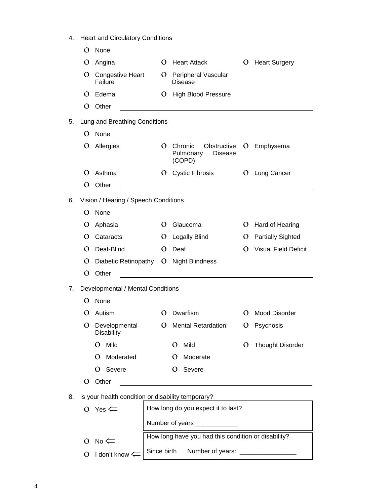4. Heart and Circulatory Conditions

|    | O            | None                                              |              |          |                                                                                                                      |              |                             |
|----|--------------|---------------------------------------------------|--------------|----------|----------------------------------------------------------------------------------------------------------------------|--------------|-----------------------------|
|    | O            | Angina                                            |              | O        | <b>Heart Attack</b>                                                                                                  | O            | <b>Heart Surgery</b>        |
|    | O            | <b>Congestive Heart</b><br>Failure                |              |          | O Peripheral Vascular<br>Disease                                                                                     |              |                             |
|    | $\Omega$     | Edema                                             |              |          | O High Blood Pressure                                                                                                |              |                             |
|    | $\Omega$     | Other                                             |              |          |                                                                                                                      |              |                             |
| 5. |              | Lung and Breathing Conditions                     |              |          |                                                                                                                      |              |                             |
|    | $\Omega$     | None                                              |              |          |                                                                                                                      |              |                             |
|    | O            | Allergies                                         | $\Omega$     |          | Chronic<br>Obstructive<br><b>Disease</b><br>Pulmonary<br>(COPD)                                                      | $\mathbf{O}$ | Emphysema                   |
|    | O            | Asthma                                            | O            |          | <b>Cystic Fibrosis</b>                                                                                               |              | O Lung Cancer               |
|    | O            | Other                                             |              |          | <u> 1980 - Jan Stein Stein Stein Stein Stein Stein Stein Stein Stein Stein Stein Stein Stein Stein Stein Stein S</u> |              |                             |
| 6. |              | Vision / Hearing / Speech Conditions              |              |          |                                                                                                                      |              |                             |
|    | $\Omega$     | None                                              |              |          |                                                                                                                      |              |                             |
|    | O            | Aphasia                                           | O            |          | Glaucoma                                                                                                             | O            | Hard of Hearing             |
|    | $\Omega$     | Cataracts                                         | O            |          | Legally Blind                                                                                                        | O            | <b>Partially Sighted</b>    |
|    | O            | Deaf-Blind                                        | O            |          | Deaf                                                                                                                 | O            | <b>Visual Field Deficit</b> |
|    | O            | Diabetic Retinopathy                              |              |          | O Night Blindness                                                                                                    |              |                             |
|    | $\Omega$     | Other                                             |              |          |                                                                                                                      |              |                             |
| 7. |              | Developmental / Mental Conditions                 |              |          |                                                                                                                      |              |                             |
|    | $\Omega$     | None                                              |              |          |                                                                                                                      |              |                             |
|    | $\Omega$     | Autism                                            | $\Omega$     |          | Dwarfism                                                                                                             | O            | <b>Mood Disorder</b>        |
|    | $\mathbf{O}$ | Developmental<br><b>Disability</b>                | $\mathbf{O}$ |          | <b>Mental Retardation:</b>                                                                                           | O            | Psychosis                   |
|    |              | Mild<br>O                                         |              | $\Omega$ | Mild                                                                                                                 | O            | <b>Thought Disorder</b>     |
|    |              | Moderated<br>O                                    |              | $\Omega$ | Moderate                                                                                                             |              |                             |
|    |              | Severe<br>O                                       |              | O        | Severe                                                                                                               |              |                             |
|    | O            | Other                                             |              |          |                                                                                                                      |              |                             |
| 8. |              | Is your health condition or disability temporary? |              |          |                                                                                                                      |              |                             |
|    |              | O Yes $\Leftarrow$                                |              |          | How long do you expect it to last?                                                                                   |              |                             |
|    |              |                                                   |              |          | Number of years _____________                                                                                        |              |                             |
|    |              |                                                   |              |          | How long have you had this condition or disability?                                                                  |              |                             |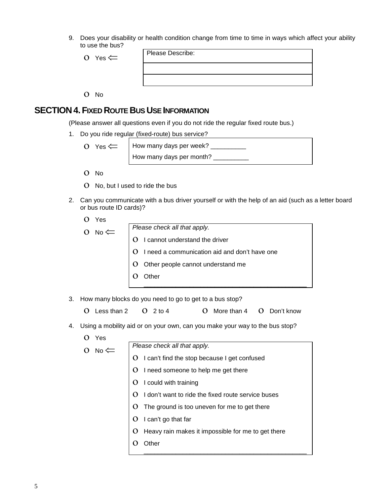9. Does your disability or health condition change from time to time in ways which affect your ability to use the bus?

| O Yes $\Leftarrow$ | Please Describe: |
|--------------------|------------------|
|                    |                  |
|                    |                  |
|                    |                  |

ο No

#### **SECTION4.FIXED ROUTE BUS USE INFORMATION**

(Please answer all questions even if you do not ride the regular fixed route bus.)

1. Do you ride regular (fixed-route) bus service?

 $\overline{O}$  Yes  $\leftarrow$  How many days per week? \_\_\_\_\_\_\_\_\_\_ How many days per month? \_\_\_\_\_\_\_\_\_\_

- ο No
- ο No, but I used to ride the bus
- 2. Can you communicate with a bus driver yourself or with the help of an aid (such as a letter board or bus route ID cards)?
	- ο Yes
	-

ο No ⇐ *Please check all that apply.* ο I cannot understand the driver

- 
- ο I need a communication aid and don't have one

\_\_\_\_\_\_\_\_\_\_\_\_\_\_\_\_\_\_\_\_\_\_\_\_\_\_\_\_\_\_\_\_\_\_\_\_\_\_\_\_\_\_\_\_\_\_

- ο Other people cannot understand me
- ο Other
- 3. How many blocks do you need to go to get to a bus stop?

| $O$ Less than $2$ $O$ 2 to 4 | O More than 4 O Don't know |  |
|------------------------------|----------------------------|--|

- 4. Using a mobility aid or on your own, can you make your way to the bus stop?
	- ο Yes

 $O \quad No \leftarrow \quad$  Please check all that apply. ο I can't find the stop because I get confused ο I need someone to help me get there ο I could with training ο I don't want to ride the fixed route service buses ο The ground is too uneven for me to get there ο I can't go that far ο Heavy rain makes it impossible for me to get there ο Other \_\_\_\_\_\_\_\_\_\_\_\_\_\_\_\_\_\_\_\_\_\_\_\_\_\_\_\_\_\_\_\_\_\_\_\_\_\_\_\_\_\_\_\_\_\_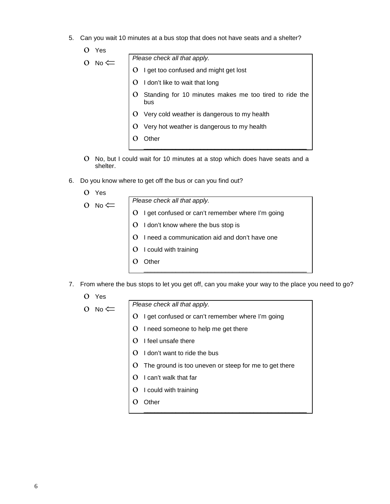5. Can you wait 10 minutes at a bus stop that does not have seats and a shelter?

| Yes                  |                                                               |
|----------------------|---------------------------------------------------------------|
| No $\leftleftarrows$ | Please check all that apply.                                  |
|                      | I get too confused and might get lost                         |
|                      | I don't like to wait that long                                |
|                      | Standing for 10 minutes makes me too tired to ride the<br>bus |
|                      | Very cold weather is dangerous to my health                   |
|                      | Very hot weather is dangerous to my health                    |
|                      |                                                               |
|                      |                                                               |

- ο No, but I could wait for 10 minutes at a stop which does have seats and a shelter.
- 6. Do you know where to get off the bus or can you find out?
	- ο Yes

|  | $\bigcirc$ No $\leftarrow$ | Please check all that apply.                       |  |  |  |
|--|----------------------------|----------------------------------------------------|--|--|--|
|  |                            | O   get confused or can't remember where I'm going |  |  |  |
|  |                            | $\overline{)$ O I don't know where the bus stop is |  |  |  |

- ο I need a communication aid and don't have one
- ο I could with training
- ο Other
- 7. From where the bus stops to let you get off, can you make your way to the place you need to go?

\_\_\_\_\_\_\_\_\_\_\_\_\_\_\_\_\_\_\_\_\_\_\_\_\_\_\_\_\_\_\_\_\_\_\_\_\_\_\_\_\_\_\_\_\_\_

ο Yes

| N۵ |  |
|----|--|

ο No ⇐ *Please check all that apply.*

- ο I get confused or can't remember where I'm going
- ο I need someone to help me get there
- ο I feel unsafe there
- ο I don't want to ride the bus
- ο The ground is too uneven or steep for me to get there

\_\_\_\_\_\_\_\_\_\_\_\_\_\_\_\_\_\_\_\_\_\_\_\_\_\_\_\_\_\_\_\_\_\_\_\_\_\_\_\_\_\_\_\_\_\_

- ο I can't walk that far
- ο I could with training
- ο Other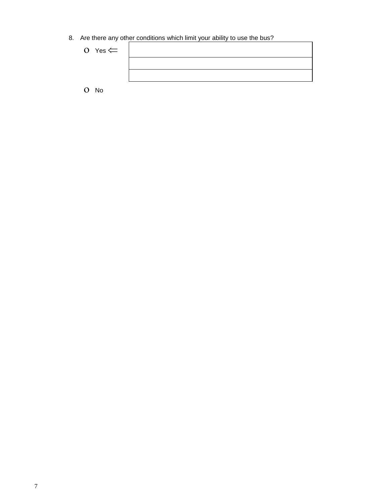8. Are there any other conditions which limit your ability to use the bus?

| O Yes $\leftarrow$ |  |
|--------------------|--|
|                    |  |
|                    |  |
| $O$ No             |  |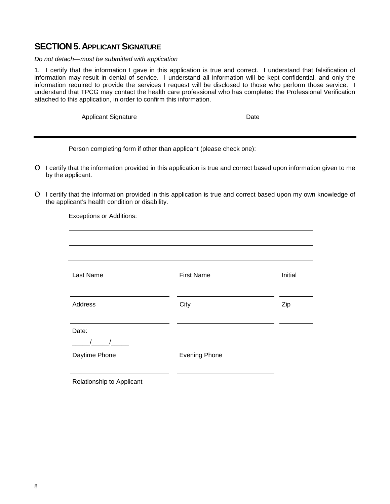#### **SECTION 5. APPLICANT SIGNATURE**

#### *Do not detach—must be submitted with application*

1. I certify that the information I gave in this application is true and correct. I understand that falsification of information may result in denial of service. I understand all information will be kept confidential, and only the information required to provide the services I request will be disclosed to those who perform those service. I understand that TPCG may contact the health care professional who has completed the Professional Verification attached to this application, in order to confirm this information.

Applicant Signature Date

Person completing form if other than applicant (please check one):

- ο I certify that the information provided in this application is true and correct based upon information given to me by the applicant.
- ο I certify that the information provided in this application is true and correct based upon my own knowledge of the applicant's health condition or disability.

Exceptions or Additions:

| Last Name                 | <b>First Name</b>    | Initial |
|---------------------------|----------------------|---------|
| Address                   | City                 | Zip     |
| Date:                     |                      |         |
|                           |                      |         |
| Daytime Phone             | <b>Evening Phone</b> |         |
|                           |                      |         |
| Relationship to Applicant |                      |         |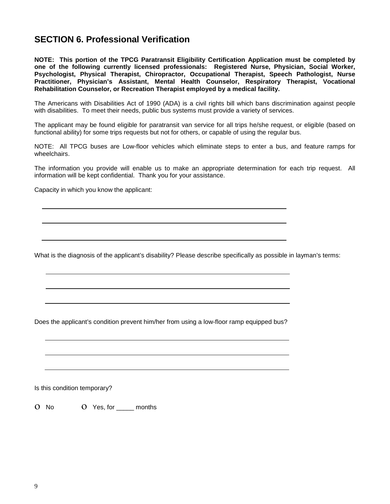### **SECTION 6. Professional Verification**

**NOTE: This portion of the TPCG Paratransit Eligibility Certification Application must be completed by one of the following currently licensed professionals: Registered Nurse, Physician, Social Worker, Psychologist, Physical Therapist, Chiropractor, Occupational Therapist, Speech Pathologist, Nurse Practitioner, Physician's Assistant, Mental Health Counselor, Respiratory Therapist, Vocational Rehabilitation Counselor, or Recreation Therapist employed by a medical facility.**

The Americans with Disabilities Act of 1990 (ADA) is a civil rights bill which bans discrimination against people with disabilities. To meet their needs, public bus systems must provide a variety of services.

The applicant may be found eligible for paratransit van service for all trips he/she request, or eligible (based on functional ability) for some trips requests but not for others, or capable of using the regular bus.

NOTE: All TPCG buses are Low-floor vehicles which eliminate steps to enter a bus, and feature ramps for wheelchairs.

The information you provide will enable us to make an appropriate determination for each trip request. All information will be kept confidential. Thank you for your assistance.

Capacity in which you know the applicant:

What is the diagnosis of the applicant's disability? Please describe specifically as possible in layman's terms:

Does the applicant's condition prevent him/her from using a low-floor ramp equipped bus?

Is this condition temporary?

ο No ο Yes, for \_\_\_\_\_ months